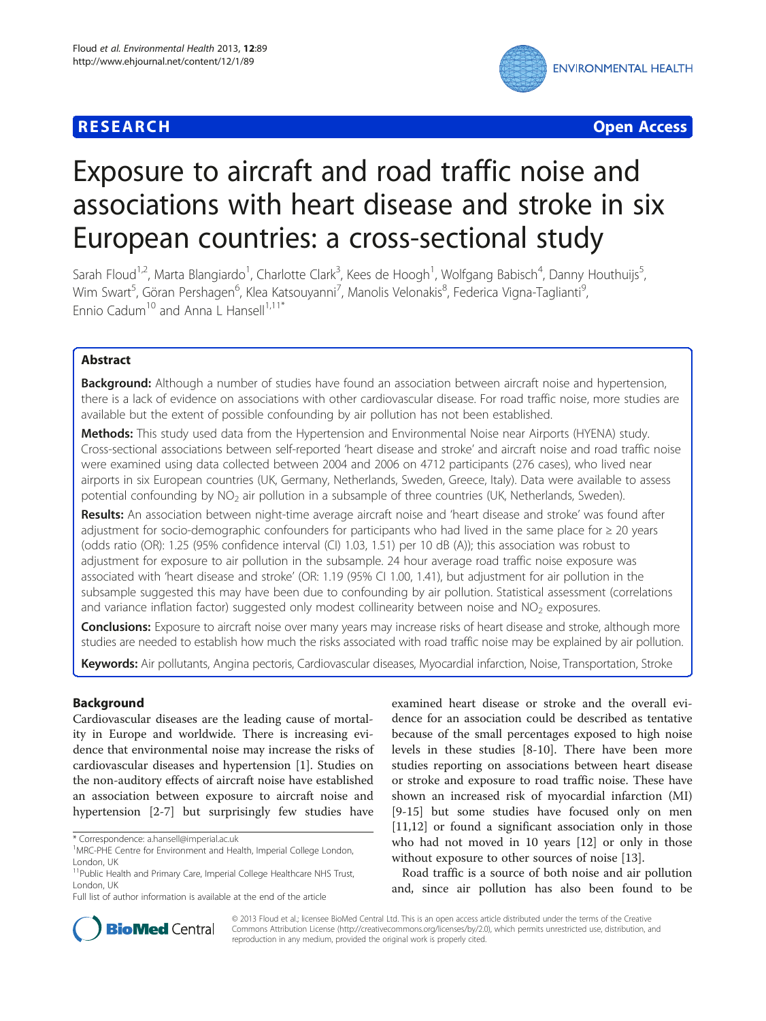# **RESEARCH CHE Open Access**



# Exposure to aircraft and road traffic noise and associations with heart disease and stroke in six European countries: a cross-sectional study

Sarah Floud<sup>1,2</sup>, Marta Blangiardo<sup>1</sup>, Charlotte Clark<sup>3</sup>, Kees de Hoogh<sup>1</sup>, Wolfgang Babisch<sup>4</sup>, Danny Houthuijs<sup>5</sup> , Wim Swart<sup>5</sup>, Göran Pershagen<sup>6</sup>, Klea Katsouyanni<sup>7</sup>, Manolis Velonakis<sup>8</sup>, Federica Vigna-Taglianti<sup>s</sup> , Ennio Cadum<sup>10</sup> and Anna L Hansell<sup>1,11\*</sup>

# Abstract

Background: Although a number of studies have found an association between aircraft noise and hypertension, there is a lack of evidence on associations with other cardiovascular disease. For road traffic noise, more studies are available but the extent of possible confounding by air pollution has not been established.

Methods: This study used data from the Hypertension and Environmental Noise near Airports (HYENA) study. Cross-sectional associations between self-reported 'heart disease and stroke' and aircraft noise and road traffic noise were examined using data collected between 2004 and 2006 on 4712 participants (276 cases), who lived near airports in six European countries (UK, Germany, Netherlands, Sweden, Greece, Italy). Data were available to assess potential confounding by  $NO<sub>2</sub>$  air pollution in a subsample of three countries (UK, Netherlands, Sweden).

Results: An association between night-time average aircraft noise and 'heart disease and stroke' was found after adjustment for socio-demographic confounders for participants who had lived in the same place for ≥ 20 years (odds ratio (OR): 1.25 (95% confidence interval (CI) 1.03, 1.51) per 10 dB (A)); this association was robust to adjustment for exposure to air pollution in the subsample. 24 hour average road traffic noise exposure was associated with 'heart disease and stroke' (OR: 1.19 (95% CI 1.00, 1.41), but adjustment for air pollution in the subsample suggested this may have been due to confounding by air pollution. Statistical assessment (correlations and variance inflation factor) suggested only modest collinearity between noise and  $NO<sub>2</sub>$  exposures.

**Conclusions:** Exposure to aircraft noise over many years may increase risks of heart disease and stroke, although more studies are needed to establish how much the risks associated with road traffic noise may be explained by air pollution.

Keywords: Air pollutants, Angina pectoris, Cardiovascular diseases, Myocardial infarction, Noise, Transportation, Stroke

# Background

Cardiovascular diseases are the leading cause of mortality in Europe and worldwide. There is increasing evidence that environmental noise may increase the risks of cardiovascular diseases and hypertension [\[1](#page-9-0)]. Studies on the non-auditory effects of aircraft noise have established an association between exposure to aircraft noise and hypertension [\[2](#page-9-0)-[7\]](#page-10-0) but surprisingly few studies have

examined heart disease or stroke and the overall evidence for an association could be described as tentative because of the small percentages exposed to high noise levels in these studies [\[8](#page-10-0)-[10\]](#page-10-0). There have been more studies reporting on associations between heart disease or stroke and exposure to road traffic noise. These have shown an increased risk of myocardial infarction (MI) [[9-15](#page-10-0)] but some studies have focused only on men [[11,12\]](#page-10-0) or found a significant association only in those who had not moved in 10 years [\[12](#page-10-0)] or only in those without exposure to other sources of noise [\[13](#page-10-0)].

Road traffic is a source of both noise and air pollution and, since air pollution has also been found to be



© 2013 Floud et al.; licensee BioMed Central Ltd. This is an open access article distributed under the terms of the Creative Commons Attribution License [\(http://creativecommons.org/licenses/by/2.0\)](http://creativecommons.org/licenses/by/2.0), which permits unrestricted use, distribution, and reproduction in any medium, provided the original work is properly cited.

<sup>\*</sup> Correspondence: [a.hansell@imperial.ac.uk](mailto:a.hansell@imperial.ac.uk) <sup>1</sup>

<sup>&</sup>lt;sup>1</sup>MRC-PHE Centre for Environment and Health, Imperial College London, London, UK

<sup>&</sup>lt;sup>11</sup>Public Health and Primary Care, Imperial College Healthcare NHS Trust, London, UK

Full list of author information is available at the end of the article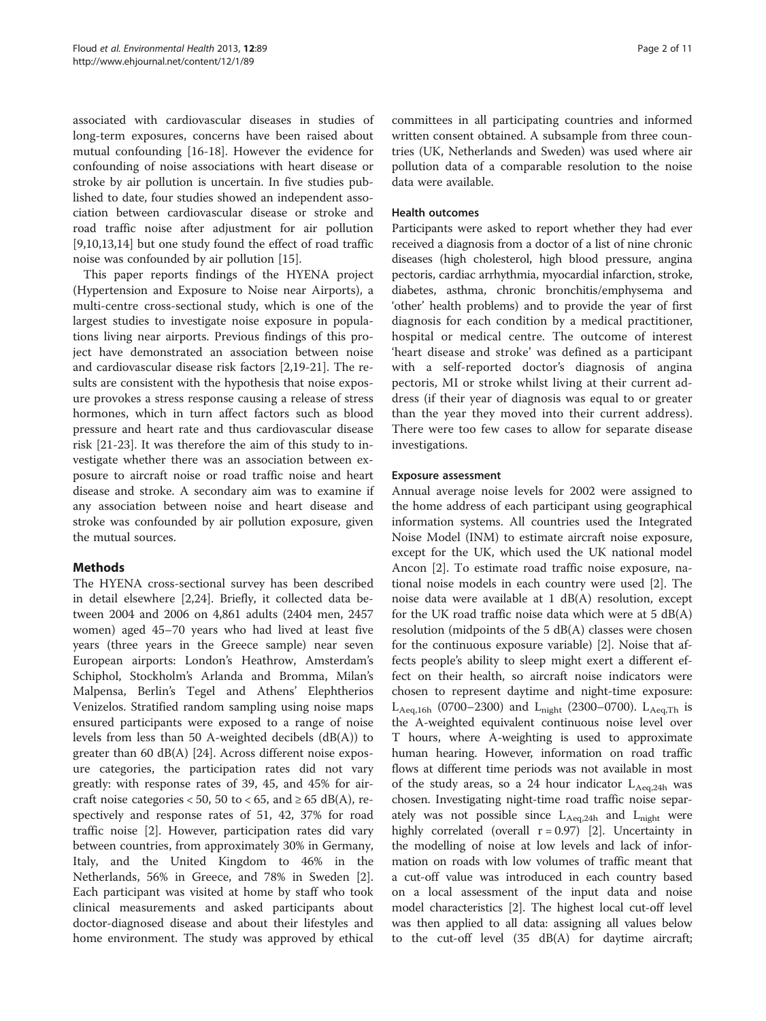associated with cardiovascular diseases in studies of long-term exposures, concerns have been raised about mutual confounding [[16-18\]](#page-10-0). However the evidence for confounding of noise associations with heart disease or stroke by air pollution is uncertain. In five studies published to date, four studies showed an independent association between cardiovascular disease or stroke and road traffic noise after adjustment for air pollution [[9,10,13,14\]](#page-10-0) but one study found the effect of road traffic noise was confounded by air pollution [[15](#page-10-0)].

This paper reports findings of the HYENA project (Hypertension and Exposure to Noise near Airports), a multi-centre cross-sectional study, which is one of the largest studies to investigate noise exposure in populations living near airports. Previous findings of this project have demonstrated an association between noise and cardiovascular disease risk factors [[2,](#page-9-0)[19-21\]](#page-10-0). The results are consistent with the hypothesis that noise exposure provokes a stress response causing a release of stress hormones, which in turn affect factors such as blood pressure and heart rate and thus cardiovascular disease risk [\[21-23](#page-10-0)]. It was therefore the aim of this study to investigate whether there was an association between exposure to aircraft noise or road traffic noise and heart disease and stroke. A secondary aim was to examine if any association between noise and heart disease and stroke was confounded by air pollution exposure, given the mutual sources.

# Methods

The HYENA cross-sectional survey has been described in detail elsewhere [\[2](#page-9-0)[,24\]](#page-10-0). Briefly, it collected data between 2004 and 2006 on 4,861 adults (2404 men, 2457 women) aged 45–70 years who had lived at least five years (three years in the Greece sample) near seven European airports: London's Heathrow, Amsterdam's Schiphol, Stockholm's Arlanda and Bromma, Milan's Malpensa, Berlin's Tegel and Athens' Elephtherios Venizelos. Stratified random sampling using noise maps ensured participants were exposed to a range of noise levels from less than 50 A-weighted decibels (dB(A)) to greater than 60 dB(A) [[24\]](#page-10-0). Across different noise exposure categories, the participation rates did not vary greatly: with response rates of 39, 45, and 45% for aircraft noise categories < 50, 50 to < 65, and  $\geq$  65 dB(A), respectively and response rates of 51, 42, 37% for road traffic noise [\[2](#page-9-0)]. However, participation rates did vary between countries, from approximately 30% in Germany, Italy, and the United Kingdom to 46% in the Netherlands, 56% in Greece, and 78% in Sweden [\[2](#page-9-0)]. Each participant was visited at home by staff who took clinical measurements and asked participants about doctor-diagnosed disease and about their lifestyles and home environment. The study was approved by ethical

committees in all participating countries and informed written consent obtained. A subsample from three countries (UK, Netherlands and Sweden) was used where air pollution data of a comparable resolution to the noise data were available.

## Health outcomes

Participants were asked to report whether they had ever received a diagnosis from a doctor of a list of nine chronic diseases (high cholesterol, high blood pressure, angina pectoris, cardiac arrhythmia, myocardial infarction, stroke, diabetes, asthma, chronic bronchitis/emphysema and 'other' health problems) and to provide the year of first diagnosis for each condition by a medical practitioner, hospital or medical centre. The outcome of interest 'heart disease and stroke' was defined as a participant with a self-reported doctor's diagnosis of angina pectoris, MI or stroke whilst living at their current address (if their year of diagnosis was equal to or greater than the year they moved into their current address). There were too few cases to allow for separate disease investigations.

## Exposure assessment

Annual average noise levels for 2002 were assigned to the home address of each participant using geographical information systems. All countries used the Integrated Noise Model (INM) to estimate aircraft noise exposure, except for the UK, which used the UK national model Ancon [\[2](#page-9-0)]. To estimate road traffic noise exposure, national noise models in each country were used [\[2](#page-9-0)]. The noise data were available at 1 dB(A) resolution, except for the UK road traffic noise data which were at 5 dB(A) resolution (midpoints of the 5 dB(A) classes were chosen for the continuous exposure variable) [\[2](#page-9-0)]. Noise that affects people's ability to sleep might exert a different effect on their health, so aircraft noise indicators were chosen to represent daytime and night-time exposure:  $L_{Aeq,16h}$  (0700–2300) and  $L_{night}$  (2300–0700).  $L_{Aeq,Th}$  is the A-weighted equivalent continuous noise level over T hours, where A-weighting is used to approximate human hearing. However, information on road traffic flows at different time periods was not available in most of the study areas, so a 24 hour indicator  $L_{Aeq,24h}$  was chosen. Investigating night-time road traffic noise separately was not possible since  $L_{Aeq,24h}$  and  $L_{night}$  were highly correlated (overall  $r = 0.97$ ) [[2](#page-9-0)]. Uncertainty in the modelling of noise at low levels and lack of information on roads with low volumes of traffic meant that a cut-off value was introduced in each country based on a local assessment of the input data and noise model characteristics [\[2](#page-9-0)]. The highest local cut-off level was then applied to all data: assigning all values below to the cut-off level (35 dB(A) for daytime aircraft;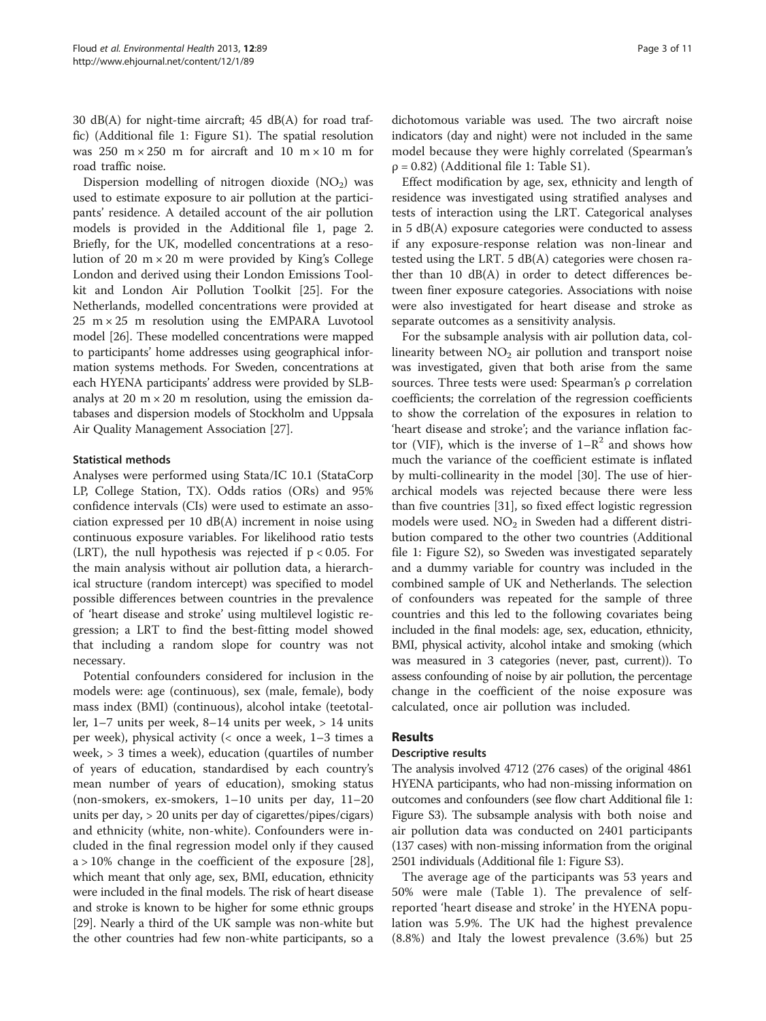30 dB(A) for night-time aircraft; 45 dB(A) for road traffic) (Additional file [1:](#page-9-0) Figure S1). The spatial resolution was 250 m  $\times$  250 m for aircraft and 10 m  $\times$  10 m for road traffic noise.

Dispersion modelling of nitrogen dioxide  $(NO<sub>2</sub>)$  was used to estimate exposure to air pollution at the participants' residence. A detailed account of the air pollution models is provided in the Additional file [1,](#page-9-0) page 2. Briefly, for the UK, modelled concentrations at a resolution of 20  $m \times 20$  m were provided by King's College London and derived using their London Emissions Toolkit and London Air Pollution Toolkit [[25\]](#page-10-0). For the Netherlands, modelled concentrations were provided at  $25 \text{ m} \times 25 \text{ m}$  resolution using the EMPARA Luvotool model [\[26\]](#page-10-0). These modelled concentrations were mapped to participants' home addresses using geographical information systems methods. For Sweden, concentrations at each HYENA participants' address were provided by SLBanalys at 20  $m \times 20$  m resolution, using the emission databases and dispersion models of Stockholm and Uppsala Air Quality Management Association [[27\]](#page-10-0).

## Statistical methods

Analyses were performed using Stata/IC 10.1 (StataCorp LP, College Station, TX). Odds ratios (ORs) and 95% confidence intervals (CIs) were used to estimate an association expressed per 10 dB(A) increment in noise using continuous exposure variables. For likelihood ratio tests (LRT), the null hypothesis was rejected if  $p < 0.05$ . For the main analysis without air pollution data, a hierarchical structure (random intercept) was specified to model possible differences between countries in the prevalence of 'heart disease and stroke' using multilevel logistic regression; a LRT to find the best-fitting model showed that including a random slope for country was not necessary.

Potential confounders considered for inclusion in the models were: age (continuous), sex (male, female), body mass index (BMI) (continuous), alcohol intake (teetotaller, 1–7 units per week, 8–14 units per week, > 14 units per week), physical activity (< once a week, 1–3 times a week, > 3 times a week), education (quartiles of number of years of education, standardised by each country's mean number of years of education), smoking status (non-smokers, ex-smokers, 1–10 units per day, 11–20 units per day, > 20 units per day of cigarettes/pipes/cigars) and ethnicity (white, non-white). Confounders were included in the final regression model only if they caused  $a > 10\%$  change in the coefficient of the exposure [\[28](#page-10-0)], which meant that only age, sex, BMI, education, ethnicity were included in the final models. The risk of heart disease and stroke is known to be higher for some ethnic groups [[29](#page-10-0)]. Nearly a third of the UK sample was non-white but the other countries had few non-white participants, so a dichotomous variable was used. The two aircraft noise indicators (day and night) were not included in the same model because they were highly correlated (Spearman's  $p = 0.82$ ) (Additional file [1](#page-9-0): Table S1).

Effect modification by age, sex, ethnicity and length of residence was investigated using stratified analyses and tests of interaction using the LRT. Categorical analyses in 5 dB(A) exposure categories were conducted to assess if any exposure-response relation was non-linear and tested using the LRT. 5 dB(A) categories were chosen rather than 10 dB(A) in order to detect differences between finer exposure categories. Associations with noise were also investigated for heart disease and stroke as separate outcomes as a sensitivity analysis.

For the subsample analysis with air pollution data, collinearity between  $NO<sub>2</sub>$  air pollution and transport noise was investigated, given that both arise from the same sources. Three tests were used: Spearman's ρ correlation coefficients; the correlation of the regression coefficients to show the correlation of the exposures in relation to 'heart disease and stroke'; and the variance inflation factor (VIF), which is the inverse of  $1-R^2$  and shows how much the variance of the coefficient estimate is inflated by multi-collinearity in the model [\[30\]](#page-10-0). The use of hierarchical models was rejected because there were less than five countries [\[31](#page-10-0)], so fixed effect logistic regression models were used.  $NO<sub>2</sub>$  in Sweden had a different distribution compared to the other two countries (Additional file [1:](#page-9-0) Figure S2), so Sweden was investigated separately and a dummy variable for country was included in the combined sample of UK and Netherlands. The selection of confounders was repeated for the sample of three countries and this led to the following covariates being included in the final models: age, sex, education, ethnicity, BMI, physical activity, alcohol intake and smoking (which was measured in 3 categories (never, past, current)). To assess confounding of noise by air pollution, the percentage change in the coefficient of the noise exposure was calculated, once air pollution was included.

## Results

#### Descriptive results

The analysis involved 4712 (276 cases) of the original 4861 HYENA participants, who had non-missing information on outcomes and confounders (see flow chart Additional file [1](#page-9-0): Figure S3). The subsample analysis with both noise and air pollution data was conducted on 2401 participants (137 cases) with non-missing information from the original 2501 individuals (Additional file [1:](#page-9-0) Figure S3).

The average age of the participants was 53 years and 50% were male (Table [1](#page-3-0)). The prevalence of selfreported 'heart disease and stroke' in the HYENA population was 5.9%. The UK had the highest prevalence (8.8%) and Italy the lowest prevalence (3.6%) but 25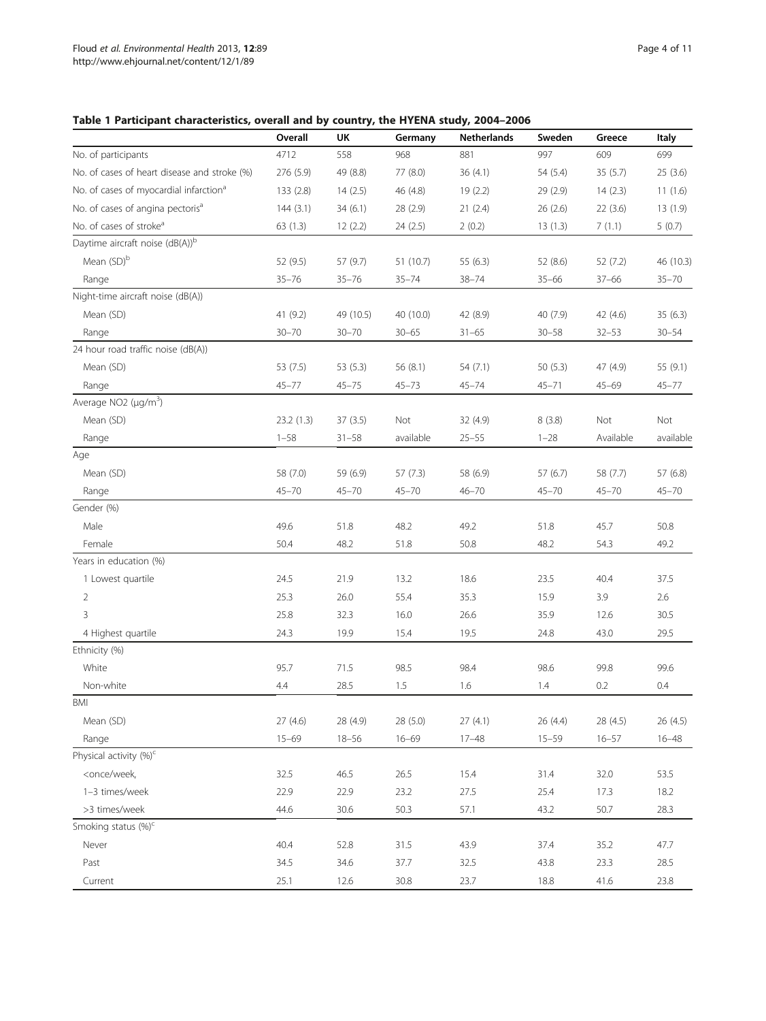# <span id="page-3-0"></span>Table 1 Participant characteristics, overall and by country, the HYENA study, 2004–2006

|                                                                                                                          | Overall   | UK        | Germany   | <b>Netherlands</b> | Sweden    | Greece    | <b>Italy</b> |
|--------------------------------------------------------------------------------------------------------------------------|-----------|-----------|-----------|--------------------|-----------|-----------|--------------|
| No. of participants                                                                                                      | 4712      | 558       | 968       | 881                | 997       | 609       | 699          |
| No. of cases of heart disease and stroke (%)                                                                             | 276 (5.9) | 49 (8.8)  | 77 (8.0)  | 36(4.1)            | 54 (5.4)  | 35 (5.7)  | 25(3.6)      |
| No. of cases of myocardial infarction <sup>a</sup>                                                                       | 133 (2.8) | 14(2.5)   | 46 (4.8)  | 19(2.2)            | 29 (2.9)  | 14(2.3)   | 11(1.6)      |
| No. of cases of angina pectoris <sup>a</sup>                                                                             | 144(3.1)  | 34(6.1)   | 28 (2.9)  | 21(2.4)            | 26(2.6)   | 22(3.6)   | 13(1.9)      |
| No. of cases of stroke <sup>a</sup>                                                                                      | 63(1.3)   | 12(2.2)   | 24 (2.5)  | 2(0.2)             | 13(1.3)   | 7(1.1)    | 5(0.7)       |
| Daytime aircraft noise (dB(A)) <sup>b</sup>                                                                              |           |           |           |                    |           |           |              |
| Mean (SD)b                                                                                                               | 52 (9.5)  | 57 (9.7)  | 51 (10.7) | 55 (6.3)           | 52 (8.6)  | 52 (7.2)  | 46 (10.3)    |
| Range                                                                                                                    | $35 - 76$ | $35 - 76$ | $35 - 74$ | $38 - 74$          | $35 - 66$ | $37 - 66$ | $35 - 70$    |
| Night-time aircraft noise (dB(A))                                                                                        |           |           |           |                    |           |           |              |
| Mean (SD)                                                                                                                | 41 (9.2)  | 49 (10.5) | 40 (10.0) | 42 (8.9)           | 40 (7.9)  | 42 (4.6)  | 35 (6.3)     |
| Range                                                                                                                    | $30 - 70$ | $30 - 70$ | $30 - 65$ | $31 - 65$          | $30 - 58$ | $32 - 53$ | $30 - 54$    |
| 24 hour road traffic noise (dB(A))                                                                                       |           |           |           |                    |           |           |              |
| Mean (SD)                                                                                                                | 53 (7.5)  | 53 (5.3)  | 56 (8.1)  | 54 (7.1)           | 50(5.3)   | 47 (4.9)  | 55 (9.1)     |
| Range                                                                                                                    | $45 - 77$ | $45 - 75$ | $45 - 73$ | $45 - 74$          | $45 - 71$ | $45 - 69$ | $45 - 77$    |
| Average NO2 (µg/m <sup>3</sup> )                                                                                         |           |           |           |                    |           |           |              |
| Mean (SD)                                                                                                                | 23.2(1.3) | 37(3.5)   | Not       | 32 (4.9)           | 8(3.8)    | Not       | Not          |
| Range                                                                                                                    | $1 - 58$  | $31 - 58$ | available | $25 - 55$          | $1 - 28$  | Available | available    |
| Age                                                                                                                      |           |           |           |                    |           |           |              |
| Mean (SD)                                                                                                                | 58 (7.0)  | 59 (6.9)  | 57(7.3)   | 58 (6.9)           | 57(6.7)   | 58 (7.7)  | 57(6.8)      |
| Range                                                                                                                    | $45 - 70$ | $45 - 70$ | $45 - 70$ | $46 - 70$          | $45 - 70$ | $45 - 70$ | $45 - 70$    |
| Gender (%)                                                                                                               |           |           |           |                    |           |           |              |
| Male                                                                                                                     | 49.6      | 51.8      | 48.2      | 49.2               | 51.8      | 45.7      | 50.8         |
| Female                                                                                                                   | 50.4      | 48.2      | 51.8      | 50.8               | 48.2      | 54.3      | 49.2         |
| Years in education (%)                                                                                                   |           |           |           |                    |           |           |              |
| 1 Lowest quartile                                                                                                        | 24.5      | 21.9      | 13.2      | 18.6               | 23.5      | 40.4      | 37.5         |
| $\overline{2}$                                                                                                           | 25.3      | 26.0      | 55.4      | 35.3               | 15.9      | 3.9       | 2.6          |
| 3                                                                                                                        | 25.8      | 32.3      | 16.0      | 26.6               | 35.9      | 12.6      | 30.5         |
| 4 Highest quartile                                                                                                       | 24.3      | 19.9      | 15.4      | 19.5               | 24.8      | 43.0      | 29.5         |
| Ethnicity (%)                                                                                                            |           |           |           |                    |           |           |              |
| White                                                                                                                    | 95.7      | 71.5      | 98.5      | 98.4               | 98.6      | 99.8      | 99.6         |
| Non-white                                                                                                                | 4.4       | 28.5      | 1.5       | 1.6                | 1.4       | 0.2       | 0.4          |
| BMI                                                                                                                      |           |           |           |                    |           |           |              |
| Mean (SD)                                                                                                                | 27(4.6)   | 28 (4.9)  | 28 (5.0)  | 27(4.1)            | 26 (4.4)  | 28 (4.5)  | 26 (4.5)     |
| Range                                                                                                                    | $15 - 69$ | $18 - 56$ | $16 - 69$ | $17 - 48$          | $15 - 59$ | $16 - 57$ | $16 - 48$    |
| Physical activity (%) <sup>c</sup>                                                                                       |           |           |           |                    |           |           |              |
| <once td="" week,<=""><td>32.5</td><td>46.5</td><td>26.5</td><td>15.4</td><td>31.4</td><td>32.0</td><td>53.5</td></once> | 32.5      | 46.5      | 26.5      | 15.4               | 31.4      | 32.0      | 53.5         |
| 1-3 times/week                                                                                                           | 22.9      | 22.9      | 23.2      | 27.5               | 25.4      | 17.3      | 18.2         |
| >3 times/week                                                                                                            | 44.6      | 30.6      | 50.3      | 57.1               | 43.2      | 50.7      | 28.3         |
| Smoking status (%) <sup>c</sup>                                                                                          |           |           |           |                    |           |           |              |
| Never                                                                                                                    | 40.4      | 52.8      | 31.5      | 43.9               | 37.4      | 35.2      | 47.7         |
| Past                                                                                                                     | 34.5      | 34.6      | 37.7      | 32.5               | 43.8      | 23.3      | 28.5         |
| Current                                                                                                                  | 25.1      | 12.6      | 30.8      | 23.7               | 18.8      | 41.6      | 23.8         |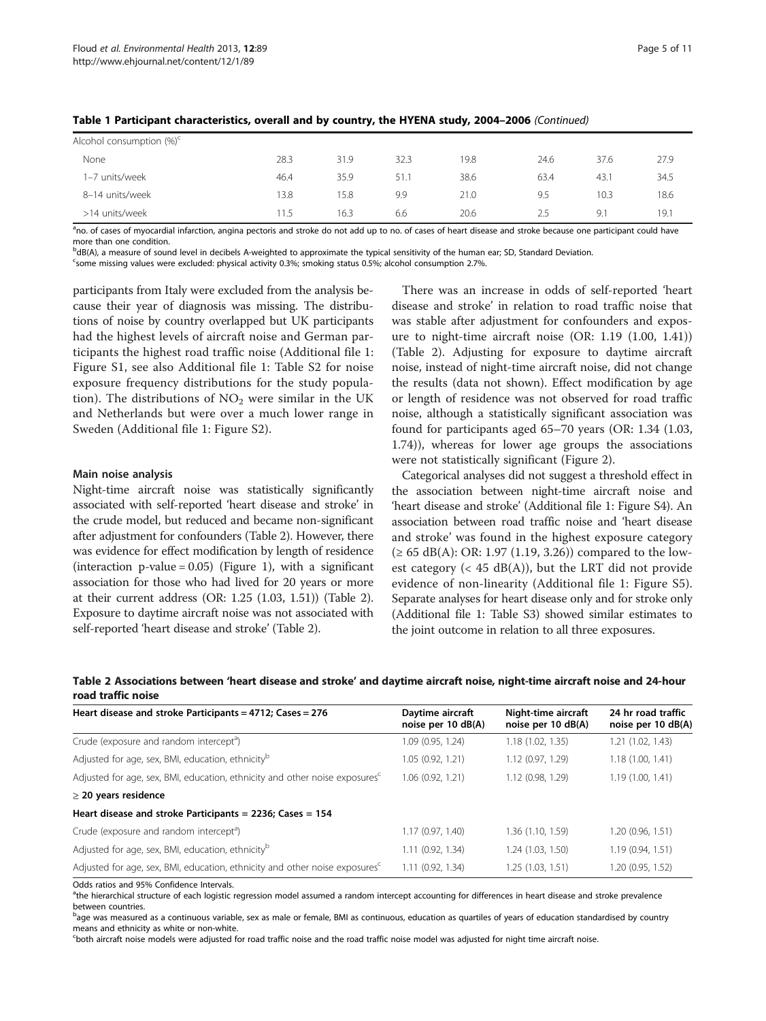| Alcohol consumption $(\%)^c$ |      |      |      |      |      |      |      |
|------------------------------|------|------|------|------|------|------|------|
| None                         | 28.3 | 31.9 | 32.3 | 19.8 | 24.6 | 37.6 | 27.9 |
| 1-7 units/week               | 46.4 | 35.9 | 51.1 | 38.6 | 63.4 | 43.1 | 34.5 |
| 8-14 units/week              | 13.8 | 15.8 | 9.9  | 21.0 | 9.5  | 10.3 | 18.6 |
| >14 units/week               | 11.5 | 16.3 | 6.6  | 20.6 | 2.5  | 9.1  | 19.1 |

Table 1 Participant characteristics, overall and by country, the HYENA study, 2004–2006 (Continued)

<sup>a</sup>no. of cases of myocardial infarction, angina pectoris and stroke do not add up to no. of cases of heart disease and stroke because one participant could have more than one condition.

bdB(A), a measure of sound level in decibels A-weighted to approximate the typical sensitivity of the human ear; SD, Standard Deviation.

<sup>c</sup>some missing values were excluded: physical activity 0.3%; smoking status 0.5%; alcohol consumption 2.7%.

participants from Italy were excluded from the analysis because their year of diagnosis was missing. The distributions of noise by country overlapped but UK participants had the highest levels of aircraft noise and German participants the highest road traffic noise (Additional file [1](#page-9-0): Figure S1, see also Additional file [1:](#page-9-0) Table S2 for noise exposure frequency distributions for the study population). The distributions of  $NO<sub>2</sub>$  were similar in the UK and Netherlands but were over a much lower range in Sweden (Additional file [1:](#page-9-0) Figure S2).

#### Main noise analysis

Night-time aircraft noise was statistically significantly associated with self-reported 'heart disease and stroke' in the crude model, but reduced and became non-significant after adjustment for confounders (Table 2). However, there was evidence for effect modification by length of residence (interaction p-value =  $0.05$ ) (Figure [1\)](#page-5-0), with a significant association for those who had lived for 20 years or more at their current address (OR: 1.25 (1.03, 1.51)) (Table 2). Exposure to daytime aircraft noise was not associated with self-reported 'heart disease and stroke' (Table 2).

There was an increase in odds of self-reported 'heart disease and stroke' in relation to road traffic noise that was stable after adjustment for confounders and exposure to night-time aircraft noise (OR: 1.19 (1.00, 1.41)) (Table 2). Adjusting for exposure to daytime aircraft noise, instead of night-time aircraft noise, did not change the results (data not shown). Effect modification by age or length of residence was not observed for road traffic noise, although a statistically significant association was found for participants aged 65–70 years (OR: 1.34 (1.03, 1.74)), whereas for lower age groups the associations were not statistically significant (Figure [2](#page-5-0)).

Categorical analyses did not suggest a threshold effect in the association between night-time aircraft noise and 'heart disease and stroke' (Additional file [1](#page-9-0): Figure S4). An association between road traffic noise and 'heart disease and stroke' was found in the highest exposure category (≥ 65 dB(A): OR: 1.97 (1.19, 3.26)) compared to the lowest category ( $<$  45 dB(A)), but the LRT did not provide evidence of non-linearity (Additional file [1:](#page-9-0) Figure S5). Separate analyses for heart disease only and for stroke only (Additional file [1](#page-9-0): Table S3) showed similar estimates to the joint outcome in relation to all three exposures.

| Table 2 Associations between 'heart disease and stroke' and daytime aircraft noise, night-time aircraft noise and 24-hour |                  |                     |                    |
|---------------------------------------------------------------------------------------------------------------------------|------------------|---------------------|--------------------|
| road traffic noise                                                                                                        |                  |                     |                    |
| Heart disease and stroke Participants = $4712$ : Cases = 276                                                              | Davtime aircraft | Night-time aircraft | 24 hr road traffic |

| Heart disease and stroke Participants = $4/12$ ; Cases = 2/6                            | Davtime aircraft<br>noise per 10 dB(A) | Night-time aircraft<br>noise per 10 dB(A) | 24 hr road traffic<br>noise per 10 dB(A) |
|-----------------------------------------------------------------------------------------|----------------------------------------|-------------------------------------------|------------------------------------------|
| Crude (exposure and random intercept <sup>a</sup> )                                     | 1.09(0.95, 1.24)                       | 1.18 (1.02, 1.35)                         | 1.21 (1.02, 1.43)                        |
| Adjusted for age, sex, BMI, education, ethnicity <sup>b</sup>                           | 1.05(0.92, 1.21)                       | 1.12 (0.97, 1.29)                         | 1.18(1.00, 1.41)                         |
| Adjusted for age, sex, BMI, education, ethnicity and other noise exposures <sup>c</sup> | 1.06(0.92, 1.21)                       | 1.12 (0.98, 1.29)                         | 1.19(1.00, 1.41)                         |
| $\geq$ 20 years residence                                                               |                                        |                                           |                                          |
| Heart disease and stroke Participants = 2236; Cases = $154$                             |                                        |                                           |                                          |
| Crude (exposure and random intercept <sup>a</sup> )                                     | 1.17(0.97, 1.40)                       | 1.36 (1.10, 1.59)                         | 1.20 (0.96, 1.51)                        |
| Adjusted for age, sex, BMI, education, ethnicity <sup>b</sup>                           | 1.11(0.92, 1.34)                       | 1.24 (1.03, 1.50)                         | 1.19(0.94, 1.51)                         |
| Adjusted for age, sex, BMI, education, ethnicity and other noise exposures <sup>c</sup> | 1.11(0.92, 1.34)                       | 1.25 (1.03, 1.51)                         | 1.20 (0.95, 1.52)                        |

Odds ratios and 95% Confidence Intervals.

<sup>a</sup>the hierarchical structure of each logistic regression model assumed a random intercept accounting for differences in heart disease and stroke prevalence between countries.

bage was measured as a continuous variable, sex as male or female, BMI as continuous, education as quartiles of years of education standardised by country means and ethnicity as white or non-white.

c both aircraft noise models were adjusted for road traffic noise and the road traffic noise model was adjusted for night time aircraft noise.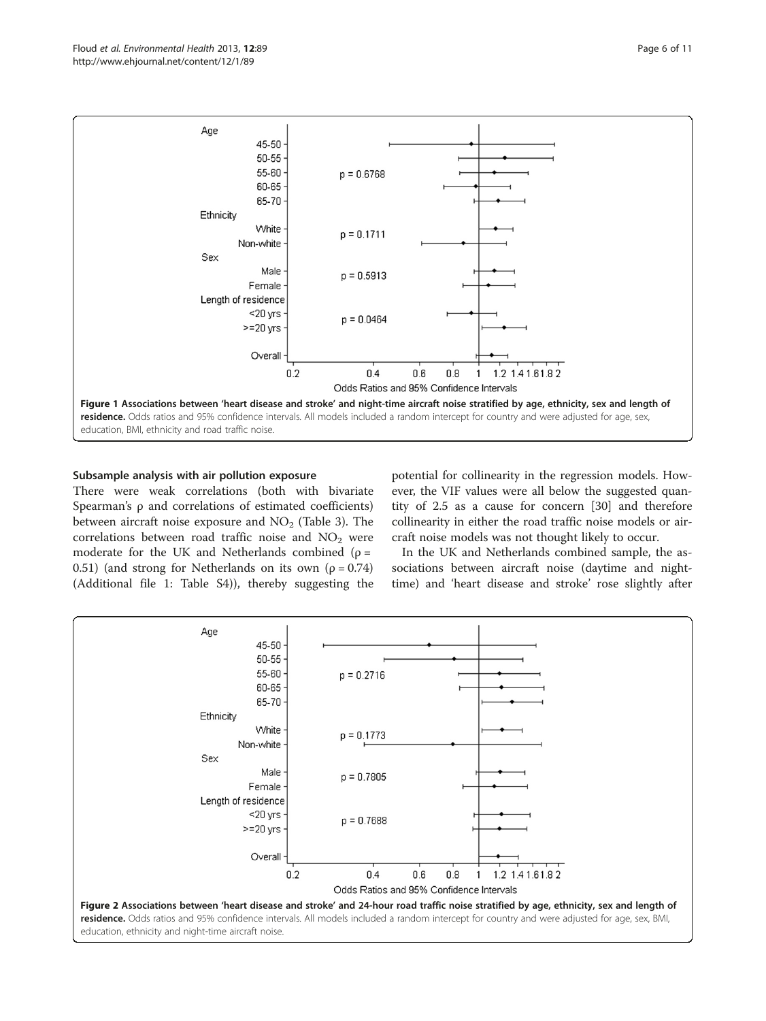<span id="page-5-0"></span>

# Subsample analysis with air pollution exposure

There were weak correlations (both with bivariate Spearman's ρ and correlations of estimated coefficients) between aircraft noise exposure and  $NO<sub>2</sub>$  (Table [3\)](#page-6-0). The correlations between road traffic noise and  $NO<sub>2</sub>$  were moderate for the UK and Netherlands combined ( $\rho =$ 0.51) (and strong for Netherlands on its own ( $\rho = 0.74$ ) (Additional file [1](#page-9-0): Table S4)), thereby suggesting the potential for collinearity in the regression models. However, the VIF values were all below the suggested quantity of 2.5 as a cause for concern [[30\]](#page-10-0) and therefore collinearity in either the road traffic noise models or aircraft noise models was not thought likely to occur.

In the UK and Netherlands combined sample, the associations between aircraft noise (daytime and nighttime) and 'heart disease and stroke' rose slightly after

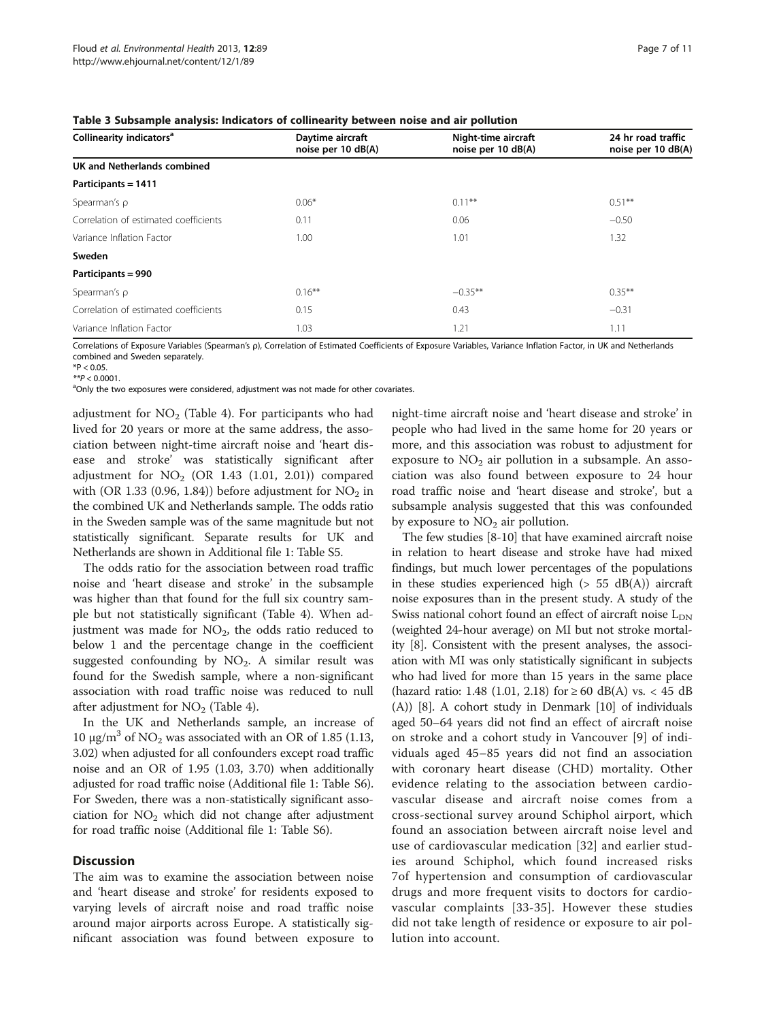<span id="page-6-0"></span>

| Collinearity indicators <sup>a</sup>  | Daytime aircraft<br>noise per 10 dB(A) | Night-time aircraft<br>noise per 10 dB(A) | 24 hr road traffic<br>noise per 10 dB(A) |  |
|---------------------------------------|----------------------------------------|-------------------------------------------|------------------------------------------|--|
| UK and Netherlands combined           |                                        |                                           |                                          |  |
| Participants = 1411                   |                                        |                                           |                                          |  |
| Spearman's $\rho$                     | $0.06*$                                | $0.11***$                                 | $0.51***$                                |  |
| Correlation of estimated coefficients | 0.11                                   | 0.06                                      | $-0.50$                                  |  |
| Variance Inflation Factor             | 1.00                                   | 1.01                                      | 1.32                                     |  |
| Sweden                                |                                        |                                           |                                          |  |
| Participants = 990                    |                                        |                                           |                                          |  |
| Spearman's p                          | $0.16***$                              | $-0.35***$                                | $0.35***$                                |  |
| Correlation of estimated coefficients | 0.15                                   | 0.43                                      | $-0.31$                                  |  |
| Variance Inflation Factor             | 1.03                                   | 1.21                                      | 1.11                                     |  |
|                                       |                                        |                                           |                                          |  |

Correlations of Exposure Variables (Spearman's ρ), Correlation of Estimated Coefficients of Exposure Variables, Variance Inflation Factor, in UK and Netherlands combined and Sweden separately.

 $*P < 0.05$ .

 $*p < 0.0001$ .

<sup>a</sup>Only the two exposures were considered, adjustment was not made for other covariates.

adjustment for  $NO<sub>2</sub>$  (Table [4\)](#page-7-0). For participants who had lived for 20 years or more at the same address, the association between night-time aircraft noise and 'heart disease and stroke' was statistically significant after adjustment for  $NO<sub>2</sub>$  (OR 1.43 (1.01, 2.01)) compared with (OR 1.33 (0.96, 1.84)) before adjustment for  $NO<sub>2</sub>$  in the combined UK and Netherlands sample. The odds ratio in the Sweden sample was of the same magnitude but not statistically significant. Separate results for UK and Netherlands are shown in Additional file [1](#page-9-0): Table S5.

The odds ratio for the association between road traffic noise and 'heart disease and stroke' in the subsample was higher than that found for the full six country sample but not statistically significant (Table [4\)](#page-7-0). When adjustment was made for  $NO<sub>2</sub>$ , the odds ratio reduced to below 1 and the percentage change in the coefficient suggested confounding by  $NO<sub>2</sub>$ . A similar result was found for the Swedish sample, where a non-significant association with road traffic noise was reduced to null after adjustment for  $NO<sub>2</sub>$  (Table [4](#page-7-0)).

In the UK and Netherlands sample, an increase of 10 μg/m<sup>3</sup> of NO<sub>2</sub> was associated with an OR of 1.85 (1.13, 3.02) when adjusted for all confounders except road traffic noise and an OR of 1.95 (1.03, 3.70) when additionally adjusted for road traffic noise (Additional file [1](#page-9-0): Table S6). For Sweden, there was a non-statistically significant association for  $NO<sub>2</sub>$  which did not change after adjustment for road traffic noise (Additional file [1](#page-9-0): Table S6).

### **Discussion**

The aim was to examine the association between noise and 'heart disease and stroke' for residents exposed to varying levels of aircraft noise and road traffic noise around major airports across Europe. A statistically significant association was found between exposure to night-time aircraft noise and 'heart disease and stroke' in people who had lived in the same home for 20 years or more, and this association was robust to adjustment for exposure to  $NO<sub>2</sub>$  air pollution in a subsample. An association was also found between exposure to 24 hour road traffic noise and 'heart disease and stroke', but a subsample analysis suggested that this was confounded by exposure to  $NO<sub>2</sub>$  air pollution.

The few studies [[8-10\]](#page-10-0) that have examined aircraft noise in relation to heart disease and stroke have had mixed findings, but much lower percentages of the populations in these studies experienced high  $(> 55$  dB $(A))$  aircraft noise exposures than in the present study. A study of the Swiss national cohort found an effect of aircraft noise  $L_{DN}$ (weighted 24-hour average) on MI but not stroke mortality [\[8\]](#page-10-0). Consistent with the present analyses, the association with MI was only statistically significant in subjects who had lived for more than 15 years in the same place (hazard ratio: 1.48 (1.01, 2.18) for ≥ 60 dB(A) vs. < 45 dB (A)) [\[8](#page-10-0)]. A cohort study in Denmark [\[10](#page-10-0)] of individuals aged 50–64 years did not find an effect of aircraft noise on stroke and a cohort study in Vancouver [\[9](#page-10-0)] of individuals aged 45–85 years did not find an association with coronary heart disease (CHD) mortality. Other evidence relating to the association between cardiovascular disease and aircraft noise comes from a cross-sectional survey around Schiphol airport, which found an association between aircraft noise level and use of cardiovascular medication [\[32\]](#page-10-0) and earlier studies around Schiphol, which found increased risks 7of hypertension and consumption of cardiovascular drugs and more frequent visits to doctors for cardiovascular complaints [\[33-35\]](#page-10-0). However these studies did not take length of residence or exposure to air pollution into account.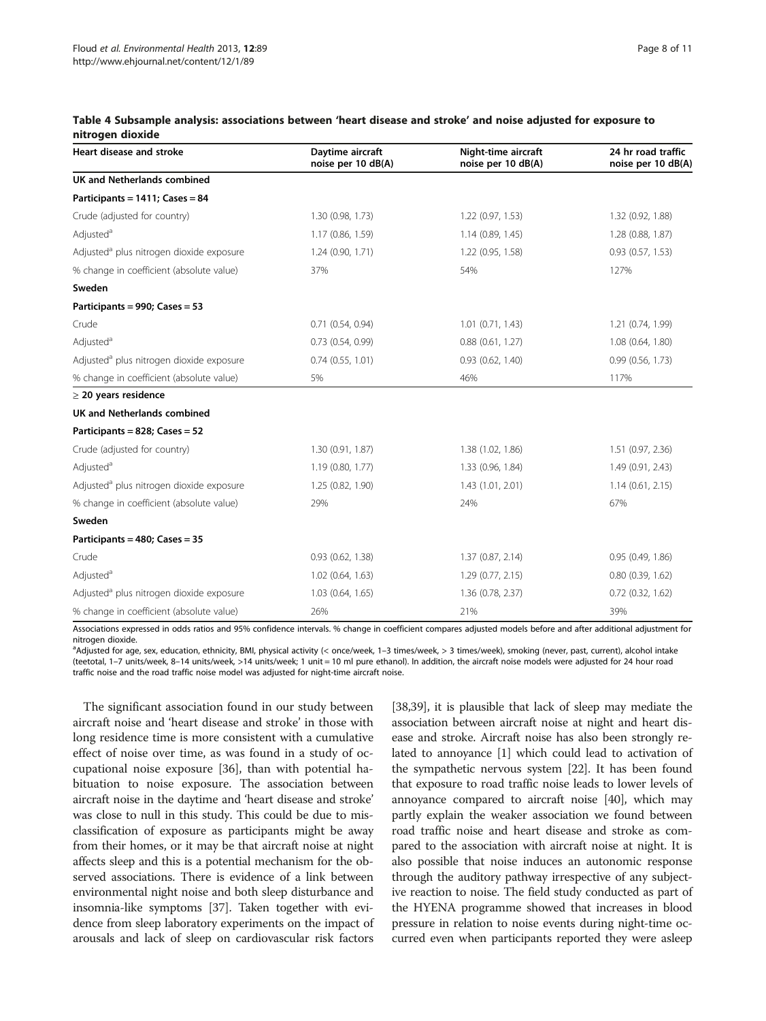| Heart disease and stroke                             | Daytime aircraft<br>noise per 10 dB(A) | Night-time aircraft<br>noise per 10 dB(A) | 24 hr road traffic<br>noise per 10 dB(A) |
|------------------------------------------------------|----------------------------------------|-------------------------------------------|------------------------------------------|
| UK and Netherlands combined                          |                                        |                                           |                                          |
| Participants = 1411; Cases = 84                      |                                        |                                           |                                          |
| Crude (adjusted for country)                         | 1.30 (0.98, 1.73)                      | 1.22 (0.97, 1.53)                         | 1.32 (0.92, 1.88)                        |
| Adjusted <sup>a</sup>                                | 1.17 (0.86, 1.59)                      | 1.14(0.89, 1.45)                          | 1.28 (0.88, 1.87)                        |
| Adjusted <sup>a</sup> plus nitrogen dioxide exposure | 1.24(0.90, 1.71)                       | 1.22 (0.95, 1.58)                         | 0.93(0.57, 1.53)                         |
| % change in coefficient (absolute value)             | 37%                                    | 54%                                       | 127%                                     |
| Sweden                                               |                                        |                                           |                                          |
| Participants = 990; Cases = 53                       |                                        |                                           |                                          |
| Crude                                                | 0.71(0.54, 0.94)                       | $1.01$ $(0.71, 1.43)$                     | 1.21 (0.74, 1.99)                        |
| Adjusted <sup>a</sup>                                | 0.73(0.54, 0.99)                       | 0.88(0.61, 1.27)                          | 1.08 (0.64, 1.80)                        |
| Adjusted <sup>a</sup> plus nitrogen dioxide exposure | 0.74(0.55, 1.01)                       | 0.93(0.62, 1.40)                          | 0.99(0.56, 1.73)                         |
| % change in coefficient (absolute value)             | 5%                                     | 46%                                       | 117%                                     |
| $\geq$ 20 years residence                            |                                        |                                           |                                          |
| <b>UK and Netherlands combined</b>                   |                                        |                                           |                                          |
| Participants = 828; Cases = 52                       |                                        |                                           |                                          |
| Crude (adjusted for country)                         | 1.30 (0.91, 1.87)                      | 1.38 (1.02, 1.86)                         | 1.51 (0.97, 2.36)                        |
| Adjusted <sup>a</sup>                                | 1.19 (0.80, 1.77)                      | 1.33 (0.96, 1.84)                         | 1.49 (0.91, 2.43)                        |
| Adjusted <sup>a</sup> plus nitrogen dioxide exposure | 1.25 (0.82, 1.90)                      | 1.43 (1.01, 2.01)                         | 1.14(0.61, 2.15)                         |
| % change in coefficient (absolute value)             | 29%                                    | 24%                                       | 67%                                      |
| Sweden                                               |                                        |                                           |                                          |
| Participants = 480; Cases = 35                       |                                        |                                           |                                          |
| Crude                                                | 0.93(0.62, 1.38)                       | 1.37(0.87, 2.14)                          | 0.95(0.49, 1.86)                         |
| Adjusted <sup>a</sup>                                | $1.02$ (0.64, 1.63)                    | 1.29(0.77, 2.15)                          | 0.80(0.39, 1.62)                         |
| Adjusted <sup>a</sup> plus nitrogen dioxide exposure | 1.03 (0.64, 1.65)                      | 1.36 (0.78, 2.37)                         | $0.72$ $(0.32, 1.62)$                    |
| % change in coefficient (absolute value)             | 26%                                    | 21%                                       | 39%                                      |

#### <span id="page-7-0"></span>Table 4 Subsample analysis: associations between 'heart disease and stroke' and noise adjusted for exposure to nitrogen dioxide

Associations expressed in odds ratios and 95% confidence intervals. % change in coefficient compares adjusted models before and after additional adjustment for nitrogen dioxide.

a Adjusted for age, sex, education, ethnicity, BMI, physical activity (< once/week, 1–3 times/week, > 3 times/week), smoking (never, past, current), alcohol intake (teetotal, 1–7 units/week, 8–14 units/week, >14 units/week; 1 unit = 10 ml pure ethanol). In addition, the aircraft noise models were adjusted for 24 hour road traffic noise and the road traffic noise model was adjusted for night-time aircraft noise.

The significant association found in our study between aircraft noise and 'heart disease and stroke' in those with long residence time is more consistent with a cumulative effect of noise over time, as was found in a study of occupational noise exposure [\[36\]](#page-10-0), than with potential habituation to noise exposure. The association between aircraft noise in the daytime and 'heart disease and stroke' was close to null in this study. This could be due to misclassification of exposure as participants might be away from their homes, or it may be that aircraft noise at night affects sleep and this is a potential mechanism for the observed associations. There is evidence of a link between environmental night noise and both sleep disturbance and insomnia-like symptoms [\[37\]](#page-10-0). Taken together with evidence from sleep laboratory experiments on the impact of arousals and lack of sleep on cardiovascular risk factors

[[38,39](#page-10-0)], it is plausible that lack of sleep may mediate the association between aircraft noise at night and heart disease and stroke. Aircraft noise has also been strongly related to annoyance [[1](#page-9-0)] which could lead to activation of the sympathetic nervous system [[22](#page-10-0)]. It has been found that exposure to road traffic noise leads to lower levels of annoyance compared to aircraft noise [[40\]](#page-10-0), which may partly explain the weaker association we found between road traffic noise and heart disease and stroke as compared to the association with aircraft noise at night. It is also possible that noise induces an autonomic response through the auditory pathway irrespective of any subjective reaction to noise. The field study conducted as part of the HYENA programme showed that increases in blood pressure in relation to noise events during night-time occurred even when participants reported they were asleep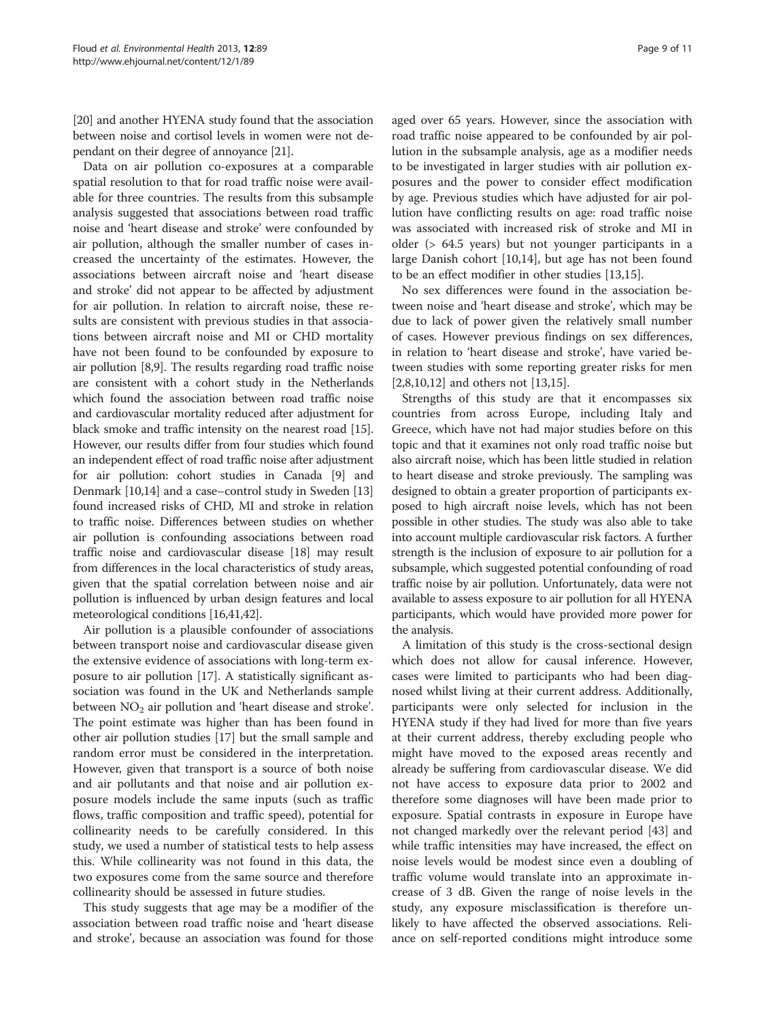[[20](#page-10-0)] and another HYENA study found that the association between noise and cortisol levels in women were not dependant on their degree of annoyance [[21](#page-10-0)].

Data on air pollution co-exposures at a comparable spatial resolution to that for road traffic noise were available for three countries. The results from this subsample analysis suggested that associations between road traffic noise and 'heart disease and stroke' were confounded by air pollution, although the smaller number of cases increased the uncertainty of the estimates. However, the associations between aircraft noise and 'heart disease and stroke' did not appear to be affected by adjustment for air pollution. In relation to aircraft noise, these results are consistent with previous studies in that associations between aircraft noise and MI or CHD mortality have not been found to be confounded by exposure to air pollution [[8](#page-10-0),[9](#page-10-0)]. The results regarding road traffic noise are consistent with a cohort study in the Netherlands which found the association between road traffic noise and cardiovascular mortality reduced after adjustment for black smoke and traffic intensity on the nearest road [[15](#page-10-0)]. However, our results differ from four studies which found an independent effect of road traffic noise after adjustment for air pollution: cohort studies in Canada [[9\]](#page-10-0) and Denmark [\[10,14](#page-10-0)] and a case–control study in Sweden [[13](#page-10-0)] found increased risks of CHD, MI and stroke in relation to traffic noise. Differences between studies on whether air pollution is confounding associations between road traffic noise and cardiovascular disease [[18](#page-10-0)] may result from differences in the local characteristics of study areas, given that the spatial correlation between noise and air pollution is influenced by urban design features and local meteorological conditions [[16,41,42\]](#page-10-0).

Air pollution is a plausible confounder of associations between transport noise and cardiovascular disease given the extensive evidence of associations with long-term exposure to air pollution [\[17](#page-10-0)]. A statistically significant association was found in the UK and Netherlands sample between  $NO<sub>2</sub>$  air pollution and 'heart disease and stroke'. The point estimate was higher than has been found in other air pollution studies [\[17\]](#page-10-0) but the small sample and random error must be considered in the interpretation. However, given that transport is a source of both noise and air pollutants and that noise and air pollution exposure models include the same inputs (such as traffic flows, traffic composition and traffic speed), potential for collinearity needs to be carefully considered. In this study, we used a number of statistical tests to help assess this. While collinearity was not found in this data, the two exposures come from the same source and therefore collinearity should be assessed in future studies.

This study suggests that age may be a modifier of the association between road traffic noise and 'heart disease and stroke', because an association was found for those

aged over 65 years. However, since the association with road traffic noise appeared to be confounded by air pollution in the subsample analysis, age as a modifier needs to be investigated in larger studies with air pollution exposures and the power to consider effect modification by age. Previous studies which have adjusted for air pollution have conflicting results on age: road traffic noise was associated with increased risk of stroke and MI in older (> 64.5 years) but not younger participants in a large Danish cohort [\[10,14](#page-10-0)], but age has not been found to be an effect modifier in other studies [[13](#page-10-0),[15](#page-10-0)].

No sex differences were found in the association between noise and 'heart disease and stroke', which may be due to lack of power given the relatively small number of cases. However previous findings on sex differences, in relation to 'heart disease and stroke', have varied between studies with some reporting greater risks for men [[2,](#page-9-0)[8,10,12\]](#page-10-0) and others not [\[13,15\]](#page-10-0).

Strengths of this study are that it encompasses six countries from across Europe, including Italy and Greece, which have not had major studies before on this topic and that it examines not only road traffic noise but also aircraft noise, which has been little studied in relation to heart disease and stroke previously. The sampling was designed to obtain a greater proportion of participants exposed to high aircraft noise levels, which has not been possible in other studies. The study was also able to take into account multiple cardiovascular risk factors. A further strength is the inclusion of exposure to air pollution for a subsample, which suggested potential confounding of road traffic noise by air pollution. Unfortunately, data were not available to assess exposure to air pollution for all HYENA participants, which would have provided more power for the analysis.

A limitation of this study is the cross-sectional design which does not allow for causal inference. However, cases were limited to participants who had been diagnosed whilst living at their current address. Additionally, participants were only selected for inclusion in the HYENA study if they had lived for more than five years at their current address, thereby excluding people who might have moved to the exposed areas recently and already be suffering from cardiovascular disease. We did not have access to exposure data prior to 2002 and therefore some diagnoses will have been made prior to exposure. Spatial contrasts in exposure in Europe have not changed markedly over the relevant period [\[43\]](#page-10-0) and while traffic intensities may have increased, the effect on noise levels would be modest since even a doubling of traffic volume would translate into an approximate increase of 3 dB. Given the range of noise levels in the study, any exposure misclassification is therefore unlikely to have affected the observed associations. Reliance on self-reported conditions might introduce some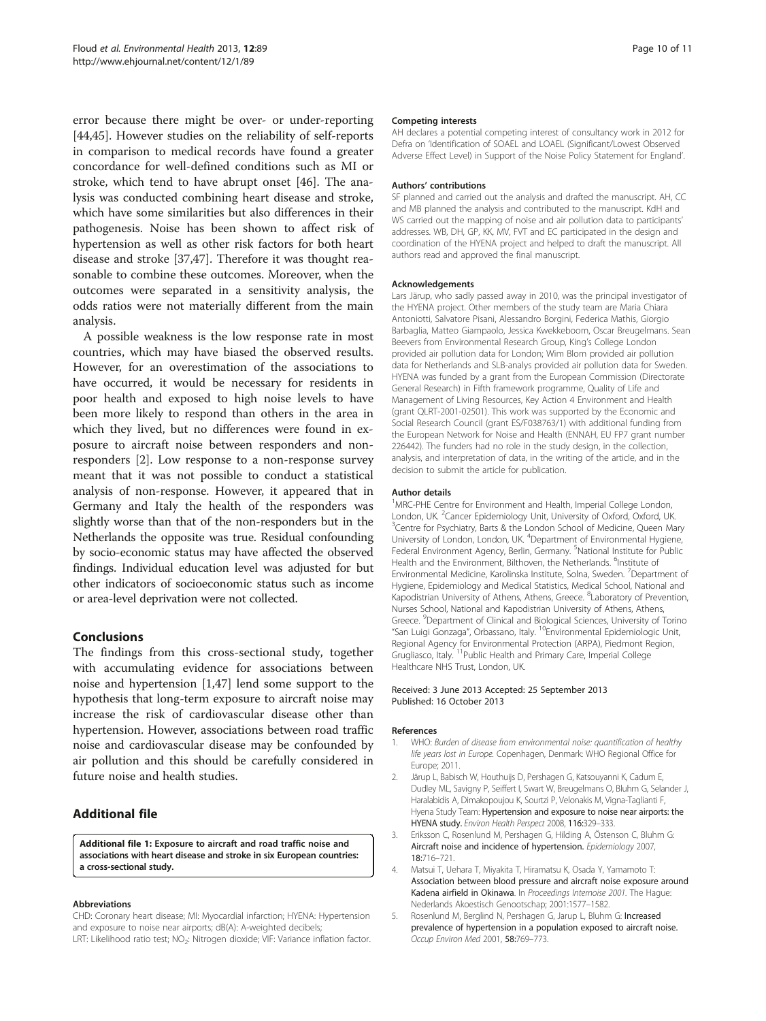<span id="page-9-0"></span>error because there might be over- or under-reporting [[44,45\]](#page-10-0). However studies on the reliability of self-reports in comparison to medical records have found a greater concordance for well-defined conditions such as MI or stroke, which tend to have abrupt onset [\[46](#page-10-0)]. The analysis was conducted combining heart disease and stroke, which have some similarities but also differences in their pathogenesis. Noise has been shown to affect risk of hypertension as well as other risk factors for both heart disease and stroke [\[37,47\]](#page-10-0). Therefore it was thought reasonable to combine these outcomes. Moreover, when the outcomes were separated in a sensitivity analysis, the odds ratios were not materially different from the main analysis.

A possible weakness is the low response rate in most countries, which may have biased the observed results. However, for an overestimation of the associations to have occurred, it would be necessary for residents in poor health and exposed to high noise levels to have been more likely to respond than others in the area in which they lived, but no differences were found in exposure to aircraft noise between responders and nonresponders [2]. Low response to a non-response survey meant that it was not possible to conduct a statistical analysis of non-response. However, it appeared that in Germany and Italy the health of the responders was slightly worse than that of the non-responders but in the Netherlands the opposite was true. Residual confounding by socio-economic status may have affected the observed findings. Individual education level was adjusted for but other indicators of socioeconomic status such as income or area-level deprivation were not collected.

## Conclusions

The findings from this cross-sectional study, together with accumulating evidence for associations between noise and hypertension [1[,47](#page-10-0)] lend some support to the hypothesis that long-term exposure to aircraft noise may increase the risk of cardiovascular disease other than hypertension. However, associations between road traffic noise and cardiovascular disease may be confounded by air pollution and this should be carefully considered in future noise and health studies.

# Additional file

[Additional file 1:](http://www.biomedcentral.com/content/supplementary/1476-069X-12-89-S1.doc) Exposure to aircraft and road traffic noise and associations with heart disease and stroke in six European countries: a cross-sectional study.

#### Abbreviations

CHD: Coronary heart disease; MI: Myocardial infarction; HYENA: Hypertension and exposure to noise near airports; dB(A): A-weighted decibels; LRT: Likelihood ratio test; NO<sub>2</sub>: Nitrogen dioxide; VIF: Variance inflation factor.

#### Competing interests

AH declares a potential competing interest of consultancy work in 2012 for Defra on 'Identification of SOAEL and LOAEL (Significant/Lowest Observed Adverse Effect Level) in Support of the Noise Policy Statement for England'.

#### Authors' contributions

SF planned and carried out the analysis and drafted the manuscript. AH, CC and MB planned the analysis and contributed to the manuscript. KdH and WS carried out the mapping of noise and air pollution data to participants' addresses. WB, DH, GP, KK, MV, FVT and EC participated in the design and coordination of the HYENA project and helped to draft the manuscript. All authors read and approved the final manuscript.

#### Acknowledgements

Lars Järup, who sadly passed away in 2010, was the principal investigator of the HYENA project. Other members of the study team are Maria Chiara Antoniotti, Salvatore Pisani, Alessandro Borgini, Federica Mathis, Giorgio Barbaglia, Matteo Giampaolo, Jessica Kwekkeboom, Oscar Breugelmans. Sean Beevers from Environmental Research Group, King's College London provided air pollution data for London; Wim Blom provided air pollution data for Netherlands and SLB-analys provided air pollution data for Sweden. HYENA was funded by a grant from the European Commission (Directorate General Research) in Fifth framework programme, Quality of Life and Management of Living Resources, Key Action 4 Environment and Health (grant QLRT-2001-02501). This work was supported by the Economic and Social Research Council (grant ES/F038763/1) with additional funding from the European Network for Noise and Health (ENNAH, EU FP7 grant number 226442). The funders had no role in the study design, in the collection, analysis, and interpretation of data, in the writing of the article, and in the decision to submit the article for publication.

#### Author details

<sup>1</sup> MRC-PHE Centre for Environment and Health, Imperial College London, London, UK. <sup>2</sup> Cancer Epidemiology Unit, University of Oxford, Oxford, UK.<br><sup>3</sup> Contra for Psychiatry, Barts & the London School of Medicine, Queen Mi <sup>3</sup> Centre for Psychiatry, Barts & the London School of Medicine, Queen Mary University of London, London, UK. <sup>4</sup>Department of Environmental Hygiene, Federal Environment Agency, Berlin, Germany. <sup>5</sup>National Institute for Public Health and the Environment, Bilthoven, the Netherlands. <sup>6</sup>Institute of Environmental Medicine, Karolinska Institute, Solna, Sweden. <sup>7</sup>Department of Hygiene, Epidemiology and Medical Statistics, Medical School, National and Kapodistrian University of Athens, Athens, Greece. <sup>8</sup> Laboratory of Prevention, Nurses School, National and Kapodistrian University of Athens, Athens, Greece. <sup>9</sup>Department of Clinical and Biological Sciences, University of Torinc "San Luigi Gonzaga", Orbassano, Italy. 10Environmental Epidemiologic Unit, Regional Agency for Environmental Protection (ARPA), Piedmont Region, Grugliasco, Italy. 11Public Health and Primary Care, Imperial College Healthcare NHS Trust, London, UK.

#### Received: 3 June 2013 Accepted: 25 September 2013 Published: 16 October 2013

#### References

- 1. WHO: Burden of disease from environmental noise: quantification of healthy life years lost in Europe. Copenhagen, Denmark: WHO Regional Office for Europe; 2011.
- 2. Järup L, Babisch W, Houthuijs D, Pershagen G, Katsouyanni K, Cadum E, Dudley ML, Savigny P, Seiffert I, Swart W, Breugelmans O, Bluhm G, Selander J, Haralabidis A, Dimakopoujou K, Sourtzi P, Velonakis M, Vigna-Taglianti F, Hyena Study Team: Hypertension and exposure to noise near airports: the HYENA study. Environ Health Perspect 2008, 116:329–333.
- 3. Eriksson C, Rosenlund M, Pershagen G, Hilding A, Östenson C, Bluhm G: Aircraft noise and incidence of hypertension. Epidemiology 2007, 18:716–721.
- 4. Matsui T, Uehara T, Miyakita T, Hiramatsu K, Osada Y, Yamamoto T: Association between blood pressure and aircraft noise exposure around Kadena airfield in Okinawa. In Proceedings Internoise 2001. The Hague: Nederlands Akoestisch Genootschap; 2001:1577–1582.
- 5. Rosenlund M, Berglind N, Pershagen G, Jarup L, Bluhm G: Increased prevalence of hypertension in a population exposed to aircraft noise. Occup Environ Med 2001, 58:769–773.